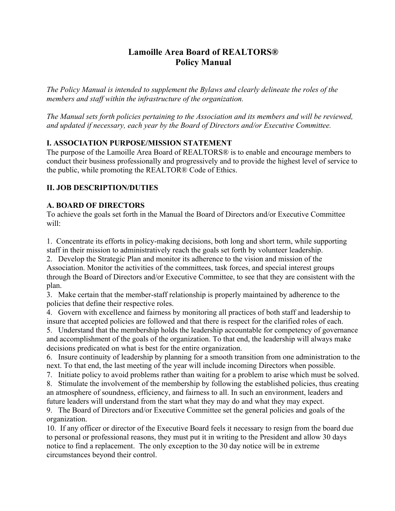# **Lamoille Area Board of REALTORS® Policy Manual**

*The Policy Manual is intended to supplement the Bylaws and clearly delineate the roles of the members and staff within the infrastructure of the organization.*

*The Manual sets forth policies pertaining to the Association and its members and will be reviewed, and updated if necessary, each year by the Board of Directors and/or Executive Committee.*

### **I. ASSOCIATION PURPOSE/MISSION STATEMENT**

The purpose of the Lamoille Area Board of REALTORS® is to enable and encourage members to conduct their business professionally and progressively and to provide the highest level of service to the public, while promoting the REALTOR® Code of Ethics.

### **II. JOB DESCRIPTION/DUTIES**

### **A. BOARD OF DIRECTORS**

To achieve the goals set forth in the Manual the Board of Directors and/or Executive Committee will:

1. Concentrate its efforts in policy-making decisions, both long and short term, while supporting staff in their mission to administratively reach the goals set forth by volunteer leadership.

2. Develop the Strategic Plan and monitor its adherence to the vision and mission of the Association. Monitor the activities of the committees, task forces, and special interest groups through the Board of Directors and/or Executive Committee, to see that they are consistent with the plan.

3. Make certain that the member-staff relationship is properly maintained by adherence to the policies that define their respective roles.

4. Govern with excellence and fairness by monitoring all practices of both staff and leadership to insure that accepted policies are followed and that there is respect for the clarified roles of each.

5. Understand that the membership holds the leadership accountable for competency of governance and accomplishment of the goals of the organization. To that end, the leadership will always make decisions predicated on what is best for the entire organization.

6. Insure continuity of leadership by planning for a smooth transition from one administration to the next. To that end, the last meeting of the year will include incoming Directors when possible.

7. Initiate policy to avoid problems rather than waiting for a problem to arise which must be solved. 8. Stimulate the involvement of the membership by following the established policies, thus creating

an atmosphere of soundness, efficiency, and fairness to all. In such an environment, leaders and future leaders will understand from the start what they may do and what they may expect.

9. The Board of Directors and/or Executive Committee set the general policies and goals of the organization.

10. If any officer or director of the Executive Board feels it necessary to resign from the board due to personal or professional reasons, they must put it in writing to the President and allow 30 days notice to find a replacement. The only exception to the 30 day notice will be in extreme circumstances beyond their control.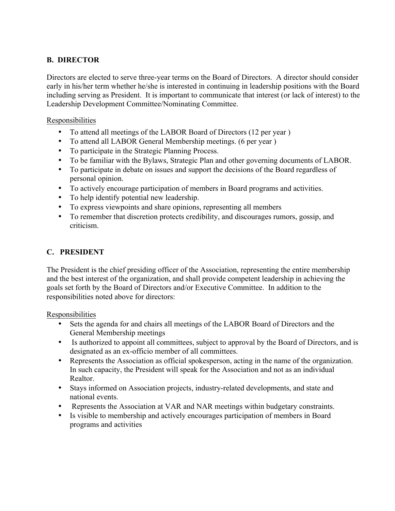## **B. DIRECTOR**

Directors are elected to serve three-year terms on the Board of Directors. A director should consider early in his/her term whether he/she is interested in continuing in leadership positions with the Board including serving as President. It is important to communicate that interest (or lack of interest) to the Leadership Development Committee/Nominating Committee.

### Responsibilities

- To attend all meetings of the LABOR Board of Directors (12 per year )
- To attend all LABOR General Membership meetings. (6 per year )
- To participate in the Strategic Planning Process.
- To be familiar with the Bylaws, Strategic Plan and other governing documents of LABOR.
- To participate in debate on issues and support the decisions of the Board regardless of personal opinion.
- To actively encourage participation of members in Board programs and activities.
- To help identify potential new leadership.
- To express viewpoints and share opinions, representing all members
- To remember that discretion protects credibility, and discourages rumors, gossip, and criticism.

### **C. PRESIDENT**

The President is the chief presiding officer of the Association, representing the entire membership and the best interest of the organization, and shall provide competent leadership in achieving the goals set forth by the Board of Directors and/or Executive Committee. In addition to the responsibilities noted above for directors:

Responsibilities

- Sets the agenda for and chairs all meetings of the LABOR Board of Directors and the General Membership meetings
- Is authorized to appoint all committees, subject to approval by the Board of Directors, and is designated as an ex-officio member of all committees.
- Represents the Association as official spokesperson, acting in the name of the organization. In such capacity, the President will speak for the Association and not as an individual Realtor.
- Stays informed on Association projects, industry-related developments, and state and national events.
- Represents the Association at VAR and NAR meetings within budgetary constraints.
- Is visible to membership and actively encourages participation of members in Board programs and activities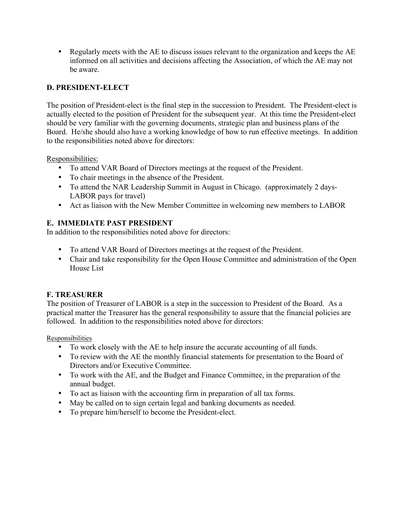• Regularly meets with the AE to discuss issues relevant to the organization and keeps the AE informed on all activities and decisions affecting the Association, of which the AE may not be aware.

## **D. PRESIDENT-ELECT**

The position of President-elect is the final step in the succession to President. The President-elect is actually elected to the position of President for the subsequent year. At this time the President-elect should be very familiar with the governing documents, strategic plan and business plans of the Board. He/she should also have a working knowledge of how to run effective meetings. In addition to the responsibilities noted above for directors:

Responsibilities:

- To attend VAR Board of Directors meetings at the request of the President.
- To chair meetings in the absence of the President.
- To attend the NAR Leadership Summit in August in Chicago. (approximately 2 days-LABOR pays for travel)
- Act as liaison with the New Member Committee in welcoming new members to LABOR

### **E. IMMEDIATE PAST PRESIDENT**

In addition to the responsibilities noted above for directors:

- To attend VAR Board of Directors meetings at the request of the President.
- Chair and take responsibility for the Open House Committee and administration of the Open House List

### **F. TREASURER**

The position of Treasurer of LABOR is a step in the succession to President of the Board. As a practical matter the Treasurer has the general responsibility to assure that the financial policies are followed. In addition to the responsibilities noted above for directors:

Responsibilities

- To work closely with the AE to help insure the accurate accounting of all funds.
- To review with the AE the monthly financial statements for presentation to the Board of Directors and/or Executive Committee.
- To work with the AE, and the Budget and Finance Committee, in the preparation of the annual budget.
- To act as liaison with the accounting firm in preparation of all tax forms.
- May be called on to sign certain legal and banking documents as needed.
- To prepare him/herself to become the President-elect.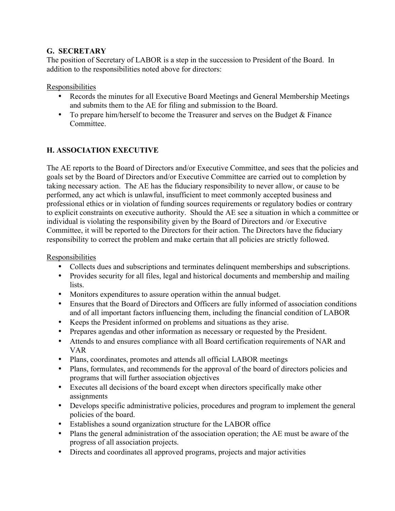### **G. SECRETARY**

The position of Secretary of LABOR is a step in the succession to President of the Board. In addition to the responsibilities noted above for directors:

Responsibilities

- Records the minutes for all Executive Board Meetings and General Membership Meetings and submits them to the AE for filing and submission to the Board.
- To prepare him/herself to become the Treasurer and serves on the Budget & Finance **Committee**

# **H. ASSOCIATION EXECUTIVE**

The AE reports to the Board of Directors and/or Executive Committee, and sees that the policies and goals set by the Board of Directors and/or Executive Committee are carried out to completion by taking necessary action. The AE has the fiduciary responsibility to never allow, or cause to be performed, any act which is unlawful, insufficient to meet commonly accepted business and professional ethics or in violation of funding sources requirements or regulatory bodies or contrary to explicit constraints on executive authority. Should the AE see a situation in which a committee or individual is violating the responsibility given by the Board of Directors and /or Executive Committee, it will be reported to the Directors for their action. The Directors have the fiduciary responsibility to correct the problem and make certain that all policies are strictly followed.

### Responsibilities

- Collects dues and subscriptions and terminates delinquent memberships and subscriptions.
- Provides security for all files, legal and historical documents and membership and mailing lists.
- Monitors expenditures to assure operation within the annual budget.
- Ensures that the Board of Directors and Officers are fully informed of association conditions and of all important factors influencing them, including the financial condition of LABOR
- Keeps the President informed on problems and situations as they arise.
- Prepares agendas and other information as necessary or requested by the President.
- Attends to and ensures compliance with all Board certification requirements of NAR and VAR
- Plans, coordinates, promotes and attends all official LABOR meetings
- Plans, formulates, and recommends for the approval of the board of directors policies and programs that will further association objectives
- Executes all decisions of the board except when directors specifically make other assignments
- Develops specific administrative policies, procedures and program to implement the general policies of the board.
- Establishes a sound organization structure for the LABOR office
- Plans the general administration of the association operation; the AE must be aware of the progress of all association projects.
- Directs and coordinates all approved programs, projects and major activities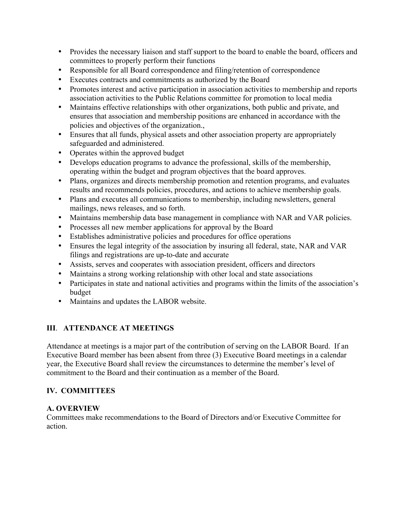- Provides the necessary liaison and staff support to the board to enable the board, officers and committees to properly perform their functions
- Responsible for all Board correspondence and filing/retention of correspondence
- Executes contracts and commitments as authorized by the Board
- Promotes interest and active participation in association activities to membership and reports association activities to the Public Relations committee for promotion to local media
- Maintains effective relationships with other organizations, both public and private, and ensures that association and membership positions are enhanced in accordance with the policies and objectives of the organization.,
- Ensures that all funds, physical assets and other association property are appropriately safeguarded and administered.
- Operates within the approved budget
- Develops education programs to advance the professional, skills of the membership, operating within the budget and program objectives that the board approves.
- Plans, organizes and directs membership promotion and retention programs, and evaluates results and recommends policies, procedures, and actions to achieve membership goals.
- Plans and executes all communications to membership, including newsletters, general mailings, news releases, and so forth.
- Maintains membership data base management in compliance with NAR and VAR policies.
- Processes all new member applications for approval by the Board
- Establishes administrative policies and procedures for office operations
- Ensures the legal integrity of the association by insuring all federal, state, NAR and VAR filings and registrations are up-to-date and accurate
- Assists, serves and cooperates with association president, officers and directors
- Maintains a strong working relationship with other local and state associations
- Participates in state and national activities and programs within the limits of the association's budget
- Maintains and updates the LABOR website.

# **III**. **ATTENDANCE AT MEETINGS**

Attendance at meetings is a major part of the contribution of serving on the LABOR Board. If an Executive Board member has been absent from three (3) Executive Board meetings in a calendar year, the Executive Board shall review the circumstances to determine the member's level of commitment to the Board and their continuation as a member of the Board.

# **IV. COMMITTEES**

## **A. OVERVIEW**

Committees make recommendations to the Board of Directors and/or Executive Committee for action.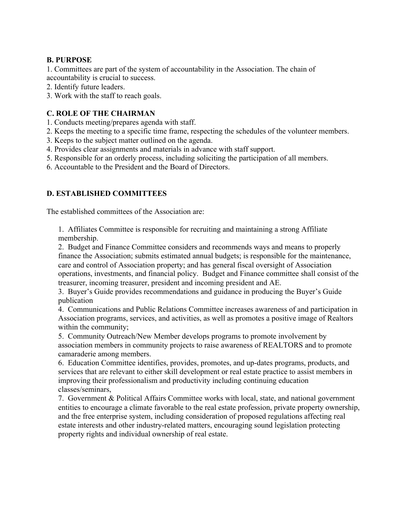### **B. PURPOSE**

1. Committees are part of the system of accountability in the Association. The chain of accountability is crucial to success.

2. Identify future leaders.

3. Work with the staff to reach goals.

## **C. ROLE OF THE CHAIRMAN**

- 1. Conducts meeting/prepares agenda with staff.
- 2. Keeps the meeting to a specific time frame, respecting the schedules of the volunteer members.
- 3. Keeps to the subject matter outlined on the agenda.
- 4. Provides clear assignments and materials in advance with staff support.
- 5. Responsible for an orderly process, including soliciting the participation of all members.
- 6. Accountable to the President and the Board of Directors.

## **D. ESTABLISHED COMMITTEES**

The established committees of the Association are:

1. Affiliates Committee is responsible for recruiting and maintaining a strong Affiliate membership.

2. Budget and Finance Committee considers and recommends ways and means to properly finance the Association; submits estimated annual budgets; is responsible for the maintenance, care and control of Association property; and has general fiscal oversight of Association operations, investments, and financial policy. Budget and Finance committee shall consist of the treasurer, incoming treasurer, president and incoming president and AE.

3. Buyer's Guide provides recommendations and guidance in producing the Buyer's Guide publication

4. Communications and Public Relations Committee increases awareness of and participation in Association programs, services, and activities, as well as promotes a positive image of Realtors within the community;

5. Community Outreach/New Member develops programs to promote involvement by association members in community projects to raise awareness of REALTORS and to promote camaraderie among members.

6. Education Committee identifies, provides, promotes, and up-dates programs, products, and services that are relevant to either skill development or real estate practice to assist members in improving their professionalism and productivity including continuing education classes/seminars,

7. Government & Political Affairs Committee works with local, state, and national government entities to encourage a climate favorable to the real estate profession, private property ownership, and the free enterprise system, including consideration of proposed regulations affecting real estate interests and other industry-related matters, encouraging sound legislation protecting property rights and individual ownership of real estate.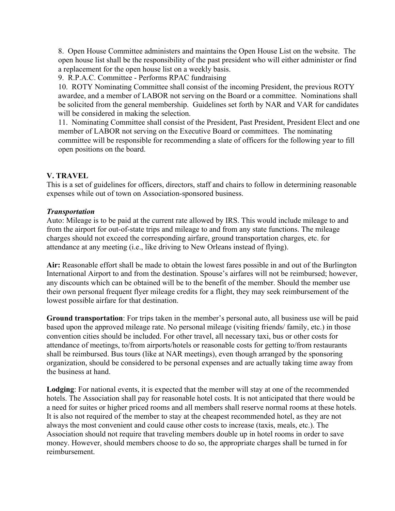8. Open House Committee administers and maintains the Open House List on the website. The open house list shall be the responsibility of the past president who will either administer or find a replacement for the open house list on a weekly basis.

9. R.P.A.C. Committee - Performs RPAC fundraising

10. ROTY Nominating Committee shall consist of the incoming President, the previous ROTY awardee, and a member of LABOR not serving on the Board or a committee. Nominations shall be solicited from the general membership. Guidelines set forth by NAR and VAR for candidates will be considered in making the selection.

11. Nominating Committee shall consist of the President, Past President, President Elect and one member of LABOR not serving on the Executive Board or committees. The nominating committee will be responsible for recommending a slate of officers for the following year to fill open positions on the board.

### **V. TRAVEL**

This is a set of guidelines for officers, directors, staff and chairs to follow in determining reasonable expenses while out of town on Association-sponsored business.

### *Transportation*

Auto: Mileage is to be paid at the current rate allowed by IRS. This would include mileage to and from the airport for out-of-state trips and mileage to and from any state functions. The mileage charges should not exceed the corresponding airfare, ground transportation charges, etc. for attendance at any meeting (i.e., like driving to New Orleans instead of flying).

**Air:** Reasonable effort shall be made to obtain the lowest fares possible in and out of the Burlington International Airport to and from the destination. Spouse's airfares will not be reimbursed; however, any discounts which can be obtained will be to the benefit of the member. Should the member use their own personal frequent flyer mileage credits for a flight, they may seek reimbursement of the lowest possible airfare for that destination.

**Ground transportation**: For trips taken in the member's personal auto, all business use will be paid based upon the approved mileage rate. No personal mileage (visiting friends/ family, etc.) in those convention cities should be included. For other travel, all necessary taxi, bus or other costs for attendance of meetings, to/from airports/hotels or reasonable costs for getting to/from restaurants shall be reimbursed. Bus tours (like at NAR meetings), even though arranged by the sponsoring organization, should be considered to be personal expenses and are actually taking time away from the business at hand.

**Lodging**: For national events, it is expected that the member will stay at one of the recommended hotels. The Association shall pay for reasonable hotel costs. It is not anticipated that there would be a need for suites or higher priced rooms and all members shall reserve normal rooms at these hotels. It is also not required of the member to stay at the cheapest recommended hotel, as they are not always the most convenient and could cause other costs to increase (taxis, meals, etc.). The Association should not require that traveling members double up in hotel rooms in order to save money. However, should members choose to do so, the appropriate charges shall be turned in for reimbursement.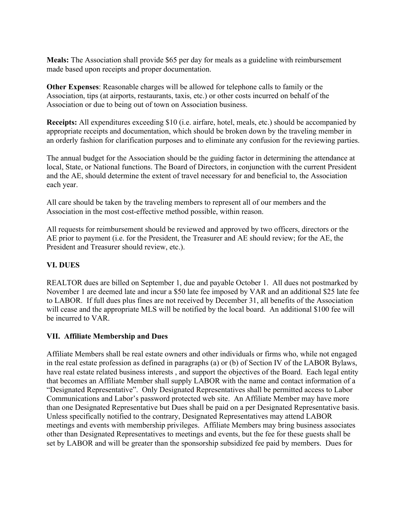**Meals:** The Association shall provide \$65 per day for meals as a guideline with reimbursement made based upon receipts and proper documentation.

**Other Expenses**: Reasonable charges will be allowed for telephone calls to family or the Association, tips (at airports, restaurants, taxis, etc.) or other costs incurred on behalf of the Association or due to being out of town on Association business.

**Receipts:** All expenditures exceeding \$10 (i.e. airfare, hotel, meals, etc.) should be accompanied by appropriate receipts and documentation, which should be broken down by the traveling member in an orderly fashion for clarification purposes and to eliminate any confusion for the reviewing parties.

The annual budget for the Association should be the guiding factor in determining the attendance at local, State, or National functions. The Board of Directors, in conjunction with the current President and the AE, should determine the extent of travel necessary for and beneficial to, the Association each year.

All care should be taken by the traveling members to represent all of our members and the Association in the most cost-effective method possible, within reason.

All requests for reimbursement should be reviewed and approved by two officers, directors or the AE prior to payment (i.e. for the President, the Treasurer and AE should review; for the AE, the President and Treasurer should review, etc.).

## **VI. DUES**

REALTOR dues are billed on September 1, due and payable October 1. All dues not postmarked by November 1 are deemed late and incur a \$50 late fee imposed by VAR and an additional \$25 late fee to LABOR. If full dues plus fines are not received by December 31, all benefits of the Association will cease and the appropriate MLS will be notified by the local board. An additional \$100 fee will be incurred to VAR.

### **VII. Affiliate Membership and Dues**

Affiliate Members shall be real estate owners and other individuals or firms who, while not engaged in the real estate profession as defined in paragraphs (a) or (b) of Section IV of the LABOR Bylaws, have real estate related business interests , and support the objectives of the Board. Each legal entity that becomes an Affiliate Member shall supply LABOR with the name and contact information of a "Designated Representative". Only Designated Representatives shall be permitted access to Labor Communications and Labor's password protected web site. An Affiliate Member may have more than one Designated Representative but Dues shall be paid on a per Designated Representative basis. Unless specifically notified to the contrary, Designated Representatives may attend LABOR meetings and events with membership privileges. Affiliate Members may bring business associates other than Designated Representatives to meetings and events, but the fee for these guests shall be set by LABOR and will be greater than the sponsorship subsidized fee paid by members. Dues for